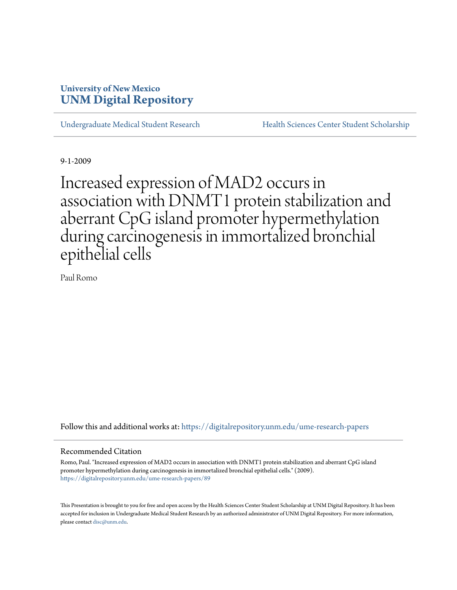# **University of New Mexico [UNM Digital Repository](https://digitalrepository.unm.edu?utm_source=digitalrepository.unm.edu%2Fume-research-papers%2F89&utm_medium=PDF&utm_campaign=PDFCoverPages)**

[Undergraduate Medical Student Research](https://digitalrepository.unm.edu/ume-research-papers?utm_source=digitalrepository.unm.edu%2Fume-research-papers%2F89&utm_medium=PDF&utm_campaign=PDFCoverPages) [Health Sciences Center Student Scholarship](https://digitalrepository.unm.edu/hsc-students?utm_source=digitalrepository.unm.edu%2Fume-research-papers%2F89&utm_medium=PDF&utm_campaign=PDFCoverPages)

9-1-2009

Increased expression of MAD2 occurs in association with DNMT1 protein stabilization and aberrant CpG island promoter hypermethylation during carcinogenesis in immortalized bronchial epithelial cells

Paul Romo

Follow this and additional works at: [https://digitalrepository.unm.edu/ume-research-papers](https://digitalrepository.unm.edu/ume-research-papers?utm_source=digitalrepository.unm.edu%2Fume-research-papers%2F89&utm_medium=PDF&utm_campaign=PDFCoverPages)

#### Recommended Citation

Romo, Paul. "Increased expression of MAD2 occurs in association with DNMT1 protein stabilization and aberrant CpG island promoter hypermethylation during carcinogenesis in immortalized bronchial epithelial cells." (2009). [https://digitalrepository.unm.edu/ume-research-papers/89](https://digitalrepository.unm.edu/ume-research-papers/89?utm_source=digitalrepository.unm.edu%2Fume-research-papers%2F89&utm_medium=PDF&utm_campaign=PDFCoverPages)

This Presentation is brought to you for free and open access by the Health Sciences Center Student Scholarship at UNM Digital Repository. It has been accepted for inclusion in Undergraduate Medical Student Research by an authorized administrator of UNM Digital Repository. For more information, please contact [disc@unm.edu.](mailto:disc@unm.edu)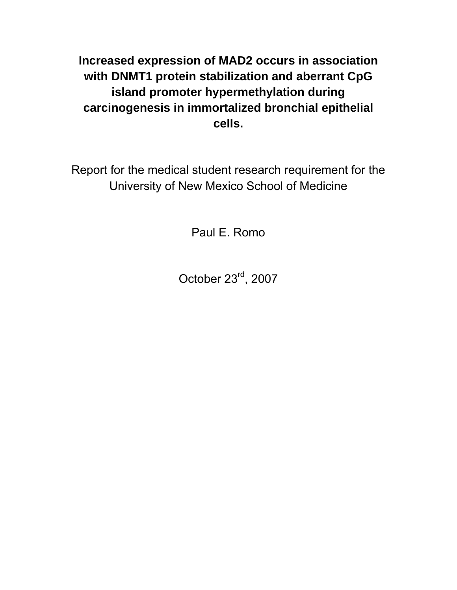**Increased expression of MAD2 occurs in association with DNMT1 protein stabilization and aberrant CpG island promoter hypermethylation during carcinogenesis in immortalized bronchial epithelial cells.** 

Report for the medical student research requirement for the University of New Mexico School of Medicine

Paul E. Romo

October 23rd, 2007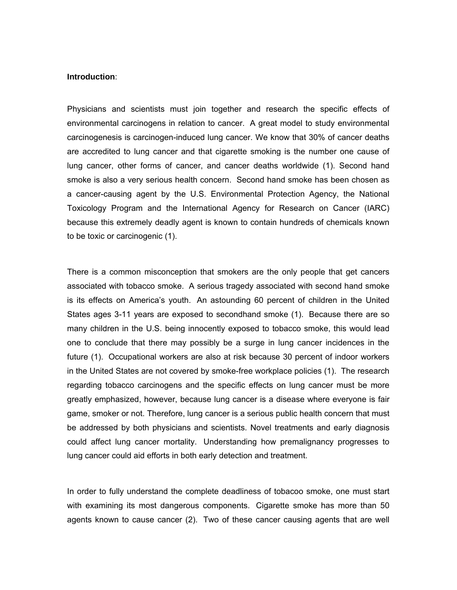#### **Introduction**:

Physicians and scientists must join together and research the specific effects of environmental carcinogens in relation to cancer. A great model to study environmental carcinogenesis is carcinogen-induced lung cancer. We know that 30% of cancer deaths are accredited to lung cancer and that cigarette smoking is the number one cause of lung cancer, other forms of cancer, and cancer deaths worldwide (1). Second hand smoke is also a very serious health concern. Second hand smoke has been chosen as a cancer-causing agent by the U.S. Environmental Protection Agency, the National Toxicology Program and the International Agency for Research on Cancer (IARC) because this extremely deadly agent is known to contain hundreds of chemicals known to be toxic or carcinogenic (1).

There is a common misconception that smokers are the only people that get cancers associated with tobacco smoke. A serious tragedy associated with second hand smoke is its effects on America's youth. An astounding 60 percent of children in the United States ages 3-11 years are exposed to secondhand smoke (1). Because there are so many children in the U.S. being innocently exposed to tobacco smoke, this would lead one to conclude that there may possibly be a surge in lung cancer incidences in the future (1). Occupational workers are also at risk because 30 percent of indoor workers in the United States are not covered by smoke-free workplace policies (1). The research regarding tobacco carcinogens and the specific effects on lung cancer must be more greatly emphasized, however, because lung cancer is a disease where everyone is fair game, smoker or not. Therefore, lung cancer is a serious public health concern that must be addressed by both physicians and scientists. Novel treatments and early diagnosis could affect lung cancer mortality. Understanding how premalignancy progresses to lung cancer could aid efforts in both early detection and treatment.

In order to fully understand the complete deadliness of tobacoo smoke, one must start with examining its most dangerous components. Cigarette smoke has more than 50 agents known to cause cancer (2). Two of these cancer causing agents that are well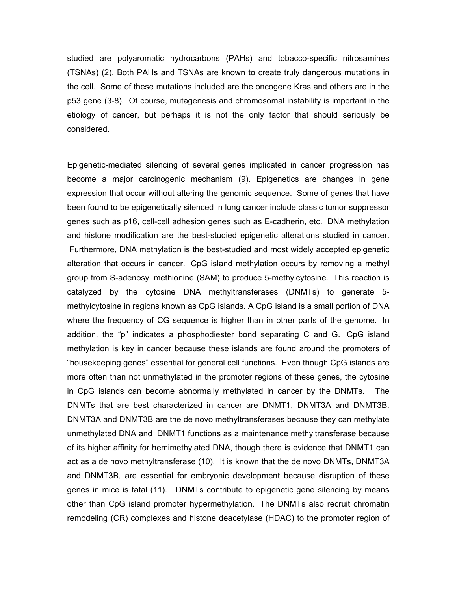studied are polyaromatic hydrocarbons (PAHs) and tobacco-specific nitrosamines (TSNAs) (2). Both PAHs and TSNAs are known to create truly dangerous mutations in the cell. Some of these mutations included are the oncogene Kras and others are in the p53 gene (3-8). Of course, mutagenesis and chromosomal instability is important in the etiology of cancer, but perhaps it is not the only factor that should seriously be considered.

Epigenetic-mediated silencing of several genes implicated in cancer progression has become a major carcinogenic mechanism (9). Epigenetics are changes in gene expression that occur without altering the genomic sequence. Some of genes that have been found to be epigenetically silenced in lung cancer include classic tumor suppressor genes such as p16, cell-cell adhesion genes such as E-cadherin, etc. DNA methylation and histone modification are the best-studied epigenetic alterations studied in cancer. Furthermore, DNA methylation is the best-studied and most widely accepted epigenetic alteration that occurs in cancer. CpG island methylation occurs by removing a methyl group from S-adenosyl methionine (SAM) to produce 5-methylcytosine. This reaction is catalyzed by the cytosine DNA methyltransferases (DNMTs) to generate 5 methylcytosine in regions known as CpG islands. A CpG island is a small portion of DNA where the frequency of CG sequence is higher than in other parts of the genome. In addition, the "p" indicates a phosphodiester bond separating C and G. CpG island methylation is key in cancer because these islands are found around the promoters of "housekeeping genes" essential for general cell functions. Even though CpG islands are more often than not unmethylated in the promoter regions of these genes, the cytosine in CpG islands can become abnormally methylated in cancer by the DNMTs. The DNMTs that are best characterized in cancer are DNMT1, DNMT3A and DNMT3B. DNMT3A and DNMT3B are the de novo methyltransferases because they can methylate unmethylated DNA and DNMT1 functions as a maintenance methyltransferase because of its higher affinity for hemimethylated DNA, though there is evidence that DNMT1 can act as a de novo methyltransferase (10). It is known that the de novo DNMTs, DNMT3A and DNMT3B, are essential for embryonic development because disruption of these genes in mice is fatal (11). DNMTs contribute to epigenetic gene silencing by means other than CpG island promoter hypermethylation. The DNMTs also recruit chromatin remodeling (CR) complexes and histone deacetylase (HDAC) to the promoter region of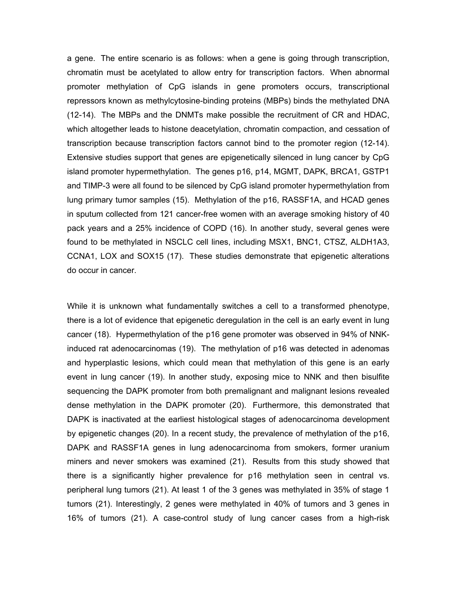a gene. The entire scenario is as follows: when a gene is going through transcription, chromatin must be acetylated to allow entry for transcription factors. When abnormal promoter methylation of CpG islands in gene promoters occurs, transcriptional repressors known as methylcytosine-binding proteins (MBPs) binds the methylated DNA (12-14). The MBPs and the DNMTs make possible the recruitment of CR and HDAC, which altogether leads to histone deacetylation, chromatin compaction, and cessation of transcription because transcription factors cannot bind to the promoter region (12-14). Extensive studies support that genes are epigenetically silenced in lung cancer by CpG island promoter hypermethylation. The genes p16, p14, MGMT, DAPK, BRCA1, GSTP1 and TIMP-3 were all found to be silenced by CpG island promoter hypermethylation from lung primary tumor samples (15). Methylation of the p16, RASSF1A, and HCAD genes in sputum collected from 121 cancer-free women with an average smoking history of 40 pack years and a 25% incidence of COPD (16). In another study, several genes were found to be methylated in NSCLC cell lines, including MSX1, BNC1, CTSZ, ALDH1A3, CCNA1, LOX and SOX15 (17). These studies demonstrate that epigenetic alterations do occur in cancer.

While it is unknown what fundamentally switches a cell to a transformed phenotype, there is a lot of evidence that epigenetic deregulation in the cell is an early event in lung cancer (18). Hypermethylation of the p16 gene promoter was observed in 94% of NNKinduced rat adenocarcinomas (19). The methylation of p16 was detected in adenomas and hyperplastic lesions, which could mean that methylation of this gene is an early event in lung cancer (19). In another study, exposing mice to NNK and then bisulfite sequencing the DAPK promoter from both premalignant and malignant lesions revealed dense methylation in the DAPK promoter (20). Furthermore, this demonstrated that DAPK is inactivated at the earliest histological stages of adenocarcinoma development by epigenetic changes (20). In a recent study, the prevalence of methylation of the p16, DAPK and RASSF1A genes in lung adenocarcinoma from smokers, former uranium miners and never smokers was examined (21). Results from this study showed that there is a significantly higher prevalence for p16 methylation seen in central vs. peripheral lung tumors (21). At least 1 of the 3 genes was methylated in 35% of stage 1 tumors (21). Interestingly, 2 genes were methylated in 40% of tumors and 3 genes in 16% of tumors (21). A case-control study of lung cancer cases from a high-risk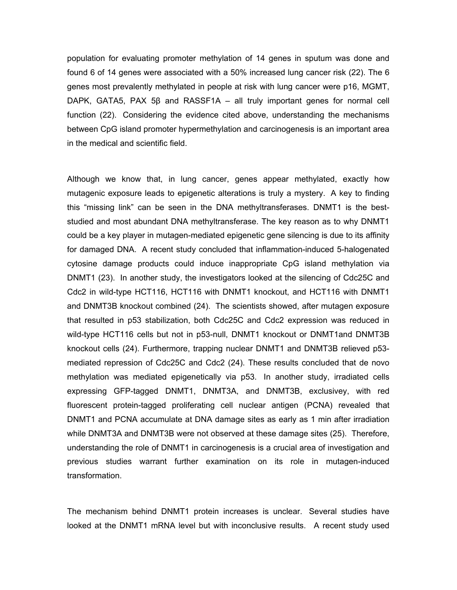population for evaluating promoter methylation of 14 genes in sputum was done and found 6 of 14 genes were associated with a 50% increased lung cancer risk (22). The 6 genes most prevalently methylated in people at risk with lung cancer were p16, MGMT, DAPK, GATA5, PAX 5β and RASSF1A – all truly important genes for normal cell function (22). Considering the evidence cited above, understanding the mechanisms between CpG island promoter hypermethylation and carcinogenesis is an important area in the medical and scientific field.

Although we know that, in lung cancer, genes appear methylated, exactly how mutagenic exposure leads to epigenetic alterations is truly a mystery. A key to finding this "missing link" can be seen in the DNA methyltransferases. DNMT1 is the beststudied and most abundant DNA methyltransferase. The key reason as to why DNMT1 could be a key player in mutagen-mediated epigenetic gene silencing is due to its affinity for damaged DNA. A recent study concluded that inflammation-induced 5-halogenated cytosine damage products could induce inappropriate CpG island methylation via DNMT1 (23). In another study, the investigators looked at the silencing of Cdc25C and Cdc2 in wild-type HCT116, HCT116 with DNMT1 knockout, and HCT116 with DNMT1 and DNMT3B knockout combined (24). The scientists showed, after mutagen exposure that resulted in p53 stabilization, both Cdc25C and Cdc2 expression was reduced in wild-type HCT116 cells but not in p53-null, DNMT1 knockout or DNMT1and DNMT3B knockout cells (24). Furthermore, trapping nuclear DNMT1 and DNMT3B relieved p53 mediated repression of Cdc25C and Cdc2 (24). These results concluded that de novo methylation was mediated epigenetically via p53. In another study, irradiated cells expressing GFP-tagged DNMT1, DNMT3A, and DNMT3B, exclusivey, with red fluorescent protein-tagged proliferating cell nuclear antigen (PCNA) revealed that DNMT1 and PCNA accumulate at DNA damage sites as early as 1 min after irradiation while DNMT3A and DNMT3B were not observed at these damage sites (25). Therefore, understanding the role of DNMT1 in carcinogenesis is a crucial area of investigation and previous studies warrant further examination on its role in mutagen-induced transformation.

The mechanism behind DNMT1 protein increases is unclear. Several studies have looked at the DNMT1 mRNA level but with inconclusive results. A recent study used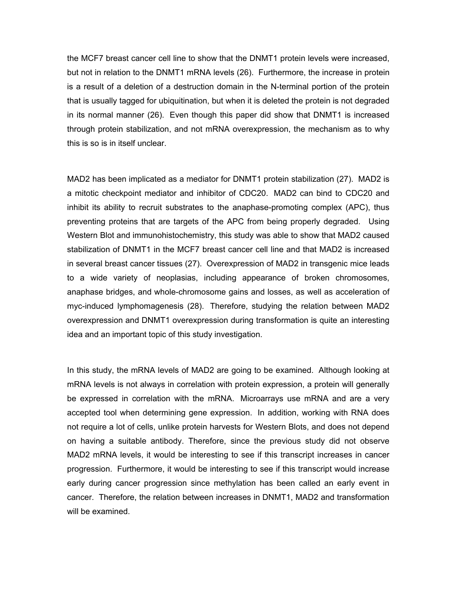the MCF7 breast cancer cell line to show that the DNMT1 protein levels were increased, but not in relation to the DNMT1 mRNA levels (26). Furthermore, the increase in protein is a result of a deletion of a destruction domain in the N-terminal portion of the protein that is usually tagged for ubiquitination, but when it is deleted the protein is not degraded in its normal manner (26). Even though this paper did show that DNMT1 is increased through protein stabilization, and not mRNA overexpression, the mechanism as to why this is so is in itself unclear.

MAD2 has been implicated as a mediator for DNMT1 protein stabilization (27). MAD2 is a mitotic checkpoint mediator and inhibitor of CDC20. MAD2 can bind to CDC20 and inhibit its ability to recruit substrates to the anaphase-promoting complex (APC), thus preventing proteins that are targets of the APC from being properly degraded. Using Western Blot and immunohistochemistry, this study was able to show that MAD2 caused stabilization of DNMT1 in the MCF7 breast cancer cell line and that MAD2 is increased in several breast cancer tissues (27). Overexpression of MAD2 in transgenic mice leads to a wide variety of neoplasias, including appearance of broken chromosomes, anaphase bridges, and whole-chromosome gains and losses, as well as acceleration of myc-induced lymphomagenesis (28). Therefore, studying the relation between MAD2 overexpression and DNMT1 overexpression during transformation is quite an interesting idea and an important topic of this study investigation.

In this study, the mRNA levels of MAD2 are going to be examined. Although looking at mRNA levels is not always in correlation with protein expression, a protein will generally be expressed in correlation with the mRNA. Microarrays use mRNA and are a very accepted tool when determining gene expression. In addition, working with RNA does not require a lot of cells, unlike protein harvests for Western Blots, and does not depend on having a suitable antibody. Therefore, since the previous study did not observe MAD2 mRNA levels, it would be interesting to see if this transcript increases in cancer progression. Furthermore, it would be interesting to see if this transcript would increase early during cancer progression since methylation has been called an early event in cancer. Therefore, the relation between increases in DNMT1, MAD2 and transformation will be examined.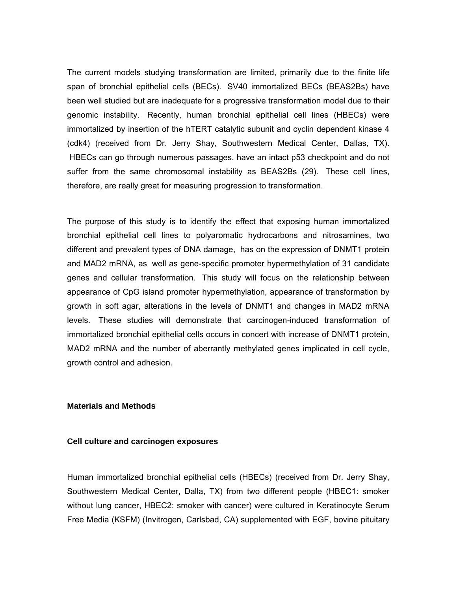The current models studying transformation are limited, primarily due to the finite life span of bronchial epithelial cells (BECs). SV40 immortalized BECs (BEAS2Bs) have been well studied but are inadequate for a progressive transformation model due to their genomic instability. Recently, human bronchial epithelial cell lines (HBECs) were immortalized by insertion of the hTERT catalytic subunit and cyclin dependent kinase 4 (cdk4) (received from Dr. Jerry Shay, Southwestern Medical Center, Dallas, TX). HBECs can go through numerous passages, have an intact p53 checkpoint and do not suffer from the same chromosomal instability as BEAS2Bs (29). These cell lines, therefore, are really great for measuring progression to transformation.

The purpose of this study is to identify the effect that exposing human immortalized bronchial epithelial cell lines to polyaromatic hydrocarbons and nitrosamines, two different and prevalent types of DNA damage, has on the expression of DNMT1 protein and MAD2 mRNA, as well as gene-specific promoter hypermethylation of 31 candidate genes and cellular transformation. This study will focus on the relationship between appearance of CpG island promoter hypermethylation, appearance of transformation by growth in soft agar, alterations in the levels of DNMT1 and changes in MAD2 mRNA levels. These studies will demonstrate that carcinogen-induced transformation of immortalized bronchial epithelial cells occurs in concert with increase of DNMT1 protein, MAD2 mRNA and the number of aberrantly methylated genes implicated in cell cycle, growth control and adhesion.

#### **Materials and Methods**

#### **Cell culture and carcinogen exposures**

Human immortalized bronchial epithelial cells (HBECs) (received from Dr. Jerry Shay, Southwestern Medical Center, Dalla, TX) from two different people (HBEC1: smoker without lung cancer, HBEC2: smoker with cancer) were cultured in Keratinocyte Serum Free Media (KSFM) (Invitrogen, Carlsbad, CA) supplemented with EGF, bovine pituitary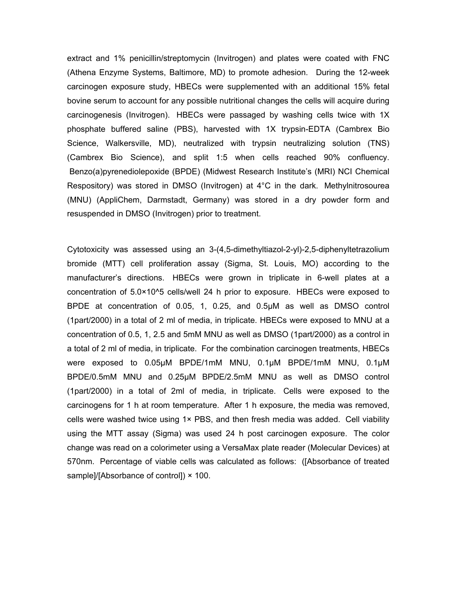extract and 1% penicillin/streptomycin (Invitrogen) and plates were coated with FNC (Athena Enzyme Systems, Baltimore, MD) to promote adhesion. During the 12-week carcinogen exposure study, HBECs were supplemented with an additional 15% fetal bovine serum to account for any possible nutritional changes the cells will acquire during carcinogenesis (Invitrogen). HBECs were passaged by washing cells twice with 1X phosphate buffered saline (PBS), harvested with 1X trypsin-EDTA (Cambrex Bio Science, Walkersville, MD), neutralized with trypsin neutralizing solution (TNS) (Cambrex Bio Science), and split 1:5 when cells reached 90% confluency. Benzo(a)pyrenediolepoxide (BPDE) (Midwest Research Institute's (MRI) NCI Chemical Respository) was stored in DMSO (Invitrogen) at 4°C in the dark. Methylnitrosourea (MNU) (AppliChem, Darmstadt, Germany) was stored in a dry powder form and resuspended in DMSO (Invitrogen) prior to treatment.

Cytotoxicity was assessed using an 3-(4,5-dimethyltiazol-2-yl)-2,5-diphenyltetrazolium bromide (MTT) cell proliferation assay (Sigma, St. Louis, MO) according to the manufacturer's directions. HBECs were grown in triplicate in 6-well plates at a concentration of 5.0×10^5 cells/well 24 h prior to exposure. HBECs were exposed to BPDE at concentration of 0.05, 1, 0.25, and 0.5μM as well as DMSO control (1part/2000) in a total of 2 ml of media, in triplicate. HBECs were exposed to MNU at a concentration of 0.5, 1, 2.5 and 5mM MNU as well as DMSO (1part/2000) as a control in a total of 2 ml of media, in triplicate. For the combination carcinogen treatments, HBECs were exposed to 0.05μM BPDE/1mM MNU, 0.1μM BPDE/1mM MNU, 0.1μM BPDE/0.5mM MNU and 0.25μM BPDE/2.5mM MNU as well as DMSO control (1part/2000) in a total of 2ml of media, in triplicate. Cells were exposed to the carcinogens for 1 h at room temperature. After 1 h exposure, the media was removed, cells were washed twice using  $1 \times PBS$ , and then fresh media was added. Cell viability using the MTT assay (Sigma) was used 24 h post carcinogen exposure. The color change was read on a colorimeter using a VersaMax plate reader (Molecular Devices) at 570nm. Percentage of viable cells was calculated as follows: ([Absorbance of treated sample]/[Absorbance of control]) × 100.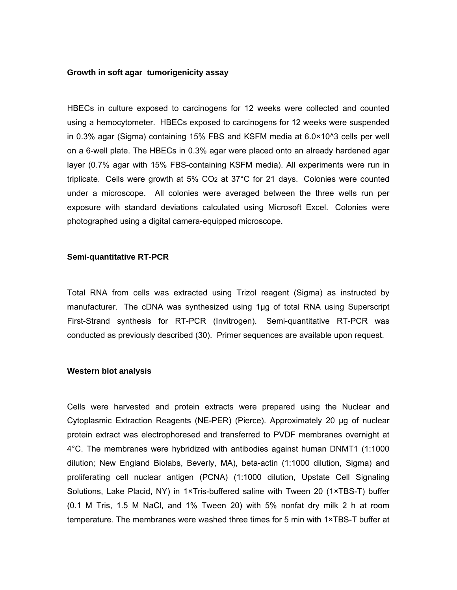#### **Growth in soft agar tumorigenicity assay**

HBECs in culture exposed to carcinogens for 12 weeks were collected and counted using a hemocytometer. HBECs exposed to carcinogens for 12 weeks were suspended in 0.3% agar (Sigma) containing 15% FBS and KSFM media at 6.0×10^3 cells per well on a 6-well plate. The HBECs in 0.3% agar were placed onto an already hardened agar layer (0.7% agar with 15% FBS-containing KSFM media). All experiments were run in triplicate. Cells were growth at 5% CO2 at 37°C for 21 days. Colonies were counted under a microscope. All colonies were averaged between the three wells run per exposure with standard deviations calculated using Microsoft Excel. Colonies were photographed using a digital camera-equipped microscope.

#### **Semi-quantitative RT-PCR**

Total RNA from cells was extracted using Trizol reagent (Sigma) as instructed by manufacturer. The cDNA was synthesized using 1μg of total RNA using Superscript First-Strand synthesis for RT-PCR (Invitrogen). Semi-quantitative RT-PCR was conducted as previously described (30). Primer sequences are available upon request.

#### **Western blot analysis**

Cells were harvested and protein extracts were prepared using the Nuclear and Cytoplasmic Extraction Reagents (NE-PER) (Pierce). Approximately 20 μg of nuclear protein extract was electrophoresed and transferred to PVDF membranes overnight at 4°C. The membranes were hybridized with antibodies against human DNMT1 (1:1000 dilution; New England Biolabs, Beverly, MA), beta-actin (1:1000 dilution, Sigma) and proliferating cell nuclear antigen (PCNA) (1:1000 dilution, Upstate Cell Signaling Solutions, Lake Placid, NY) in 1×Tris-buffered saline with Tween 20 (1×TBS-T) buffer (0.1 M Tris, 1.5 M NaCl, and 1% Tween 20) with 5% nonfat dry milk 2 h at room temperature. The membranes were washed three times for 5 min with 1×TBS-T buffer at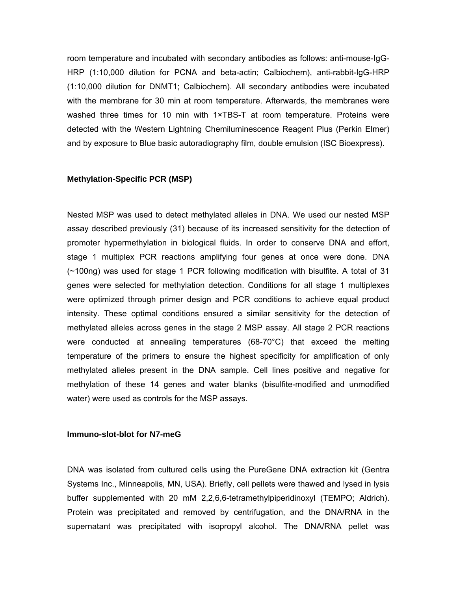room temperature and incubated with secondary antibodies as follows: anti-mouse-IgG-HRP (1:10,000 dilution for PCNA and beta-actin; Calbiochem), anti-rabbit-IgG-HRP (1:10,000 dilution for DNMT1; Calbiochem). All secondary antibodies were incubated with the membrane for 30 min at room temperature. Afterwards, the membranes were washed three times for 10 min with 1×TBS-T at room temperature. Proteins were detected with the Western Lightning Chemiluminescence Reagent Plus (Perkin Elmer) and by exposure to Blue basic autoradiography film, double emulsion (ISC Bioexpress).

#### **Methylation-Specific PCR (MSP)**

Nested MSP was used to detect methylated alleles in DNA. We used our nested MSP assay described previously (31) because of its increased sensitivity for the detection of promoter hypermethylation in biological fluids. In order to conserve DNA and effort, stage 1 multiplex PCR reactions amplifying four genes at once were done. DNA (~100ng) was used for stage 1 PCR following modification with bisulfite. A total of 31 genes were selected for methylation detection. Conditions for all stage 1 multiplexes were optimized through primer design and PCR conditions to achieve equal product intensity. These optimal conditions ensured a similar sensitivity for the detection of methylated alleles across genes in the stage 2 MSP assay. All stage 2 PCR reactions were conducted at annealing temperatures (68-70°C) that exceed the melting temperature of the primers to ensure the highest specificity for amplification of only methylated alleles present in the DNA sample. Cell lines positive and negative for methylation of these 14 genes and water blanks (bisulfite-modified and unmodified water) were used as controls for the MSP assays.

#### **Immuno-slot-blot for N7-meG**

DNA was isolated from cultured cells using the PureGene DNA extraction kit (Gentra Systems Inc., Minneapolis, MN, USA). Briefly, cell pellets were thawed and lysed in lysis buffer supplemented with 20 mM 2,2,6,6-tetramethylpiperidinoxyl (TEMPO; Aldrich). Protein was precipitated and removed by centrifugation, and the DNA/RNA in the supernatant was precipitated with isopropyl alcohol. The DNA/RNA pellet was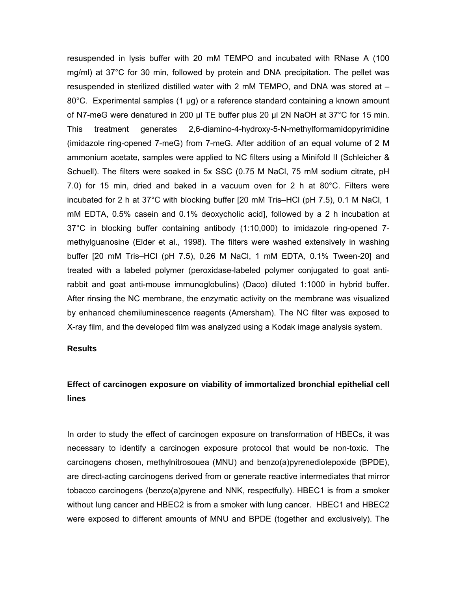resuspended in lysis buffer with 20 mM TEMPO and incubated with RNase A (100 mg/ml) at 37°C for 30 min, followed by protein and DNA precipitation. The pellet was resuspended in sterilized distilled water with 2 mM TEMPO, and DNA was stored at – 80°C. Experimental samples (1 µg) or a reference standard containing a known amount of N7-meG were denatured in 200 µl TE buffer plus 20 µl 2N NaOH at 37°C for 15 min. This treatment generates 2,6-diamino-4-hydroxy-5-N-methylformamidopyrimidine (imidazole ring-opened 7-meG) from 7-meG. After addition of an equal volume of 2 M ammonium acetate, samples were applied to NC filters using a Minifold II (Schleicher & Schuell). The filters were soaked in 5x SSC (0.75 M NaCl, 75 mM sodium citrate, pH 7.0) for 15 min, dried and baked in a vacuum oven for 2 h at 80°C. Filters were incubated for 2 h at 37°C with blocking buffer [20 mM Tris–HCl (pH 7.5), 0.1 M NaCl, 1 mM EDTA, 0.5% casein and 0.1% deoxycholic acid], followed by a 2 h incubation at 37°C in blocking buffer containing antibody (1:10,000) to imidazole ring-opened 7 methylguanosine (Elder et al., 1998). The filters were washed extensively in washing buffer [20 mM Tris–HCl (pH 7.5), 0.26 M NaCl, 1 mM EDTA, 0.1% Tween-20] and treated with a labeled polymer (peroxidase-labeled polymer conjugated to goat antirabbit and goat anti-mouse immunoglobulins) (Daco) diluted 1:1000 in hybrid buffer. After rinsing the NC membrane, the enzymatic activity on the membrane was visualized by enhanced chemiluminescence reagents (Amersham). The NC filter was exposed to X-ray film, and the developed film was analyzed using a Kodak image analysis system.

#### **Results**

## **Effect of carcinogen exposure on viability of immortalized bronchial epithelial cell lines**

In order to study the effect of carcinogen exposure on transformation of HBECs, it was necessary to identify a carcinogen exposure protocol that would be non-toxic. The carcinogens chosen, methylnitrosouea (MNU) and benzo(a)pyrenediolepoxide (BPDE), are direct-acting carcinogens derived from or generate reactive intermediates that mirror tobacco carcinogens (benzo(a)pyrene and NNK, respectfully). HBEC1 is from a smoker without lung cancer and HBEC2 is from a smoker with lung cancer. HBEC1 and HBEC2 were exposed to different amounts of MNU and BPDE (together and exclusively). The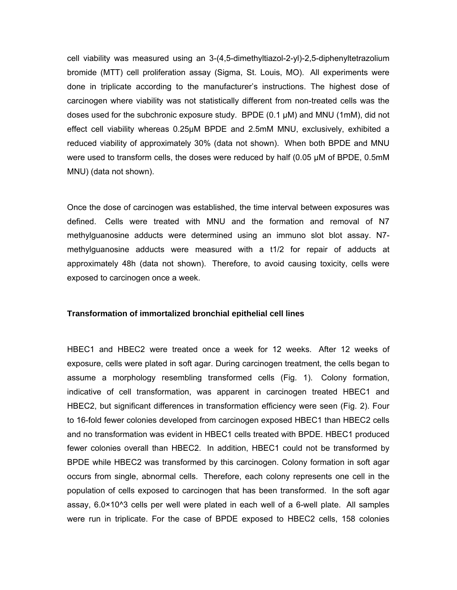cell viability was measured using an 3-(4,5-dimethyltiazol-2-yl)-2,5-diphenyltetrazolium bromide (MTT) cell proliferation assay (Sigma, St. Louis, MO). All experiments were done in triplicate according to the manufacturer's instructions. The highest dose of carcinogen where viability was not statistically different from non-treated cells was the doses used for the subchronic exposure study. BPDE (0.1 μM) and MNU (1mM), did not effect cell viability whereas 0.25μM BPDE and 2.5mM MNU, exclusively, exhibited a reduced viability of approximately 30% (data not shown). When both BPDE and MNU were used to transform cells, the doses were reduced by half (0.05 μM of BPDE, 0.5mM MNU) (data not shown).

Once the dose of carcinogen was established, the time interval between exposures was defined. Cells were treated with MNU and the formation and removal of N7 methylguanosine adducts were determined using an immuno slot blot assay. N7 methylguanosine adducts were measured with a t1/2 for repair of adducts at approximately 48h (data not shown). Therefore, to avoid causing toxicity, cells were exposed to carcinogen once a week.

#### **Transformation of immortalized bronchial epithelial cell lines**

HBEC1 and HBEC2 were treated once a week for 12 weeks. After 12 weeks of exposure, cells were plated in soft agar. During carcinogen treatment, the cells began to assume a morphology resembling transformed cells (Fig. 1). Colony formation, indicative of cell transformation, was apparent in carcinogen treated HBEC1 and HBEC2, but significant differences in transformation efficiency were seen (Fig. 2). Four to 16-fold fewer colonies developed from carcinogen exposed HBEC1 than HBEC2 cells and no transformation was evident in HBEC1 cells treated with BPDE. HBEC1 produced fewer colonies overall than HBEC2. In addition, HBEC1 could not be transformed by BPDE while HBEC2 was transformed by this carcinogen. Colony formation in soft agar occurs from single, abnormal cells. Therefore, each colony represents one cell in the population of cells exposed to carcinogen that has been transformed. In the soft agar assay, 6.0×10^3 cells per well were plated in each well of a 6-well plate. All samples were run in triplicate. For the case of BPDE exposed to HBEC2 cells, 158 colonies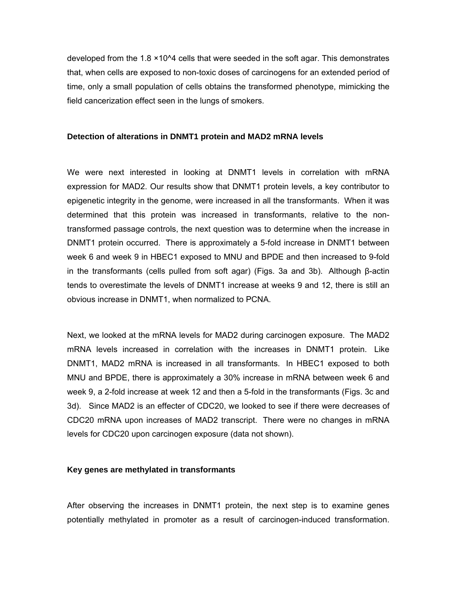developed from the 1.8 ×10^4 cells that were seeded in the soft agar. This demonstrates that, when cells are exposed to non-toxic doses of carcinogens for an extended period of time, only a small population of cells obtains the transformed phenotype, mimicking the field cancerization effect seen in the lungs of smokers.

#### **Detection of alterations in DNMT1 protein and MAD2 mRNA levels**

We were next interested in looking at DNMT1 levels in correlation with mRNA expression for MAD2. Our results show that DNMT1 protein levels, a key contributor to epigenetic integrity in the genome, were increased in all the transformants. When it was determined that this protein was increased in transformants, relative to the nontransformed passage controls, the next question was to determine when the increase in DNMT1 protein occurred. There is approximately a 5-fold increase in DNMT1 between week 6 and week 9 in HBEC1 exposed to MNU and BPDE and then increased to 9-fold in the transformants (cells pulled from soft agar) (Figs. 3a and 3b). Although β-actin tends to overestimate the levels of DNMT1 increase at weeks 9 and 12, there is still an obvious increase in DNMT1, when normalized to PCNA.

Next, we looked at the mRNA levels for MAD2 during carcinogen exposure. The MAD2 mRNA levels increased in correlation with the increases in DNMT1 protein. Like DNMT1, MAD2 mRNA is increased in all transformants. In HBEC1 exposed to both MNU and BPDE, there is approximately a 30% increase in mRNA between week 6 and week 9, a 2-fold increase at week 12 and then a 5-fold in the transformants (Figs. 3c and 3d). Since MAD2 is an effecter of CDC20, we looked to see if there were decreases of CDC20 mRNA upon increases of MAD2 transcript. There were no changes in mRNA levels for CDC20 upon carcinogen exposure (data not shown).

#### **Key genes are methylated in transformants**

After observing the increases in DNMT1 protein, the next step is to examine genes potentially methylated in promoter as a result of carcinogen-induced transformation.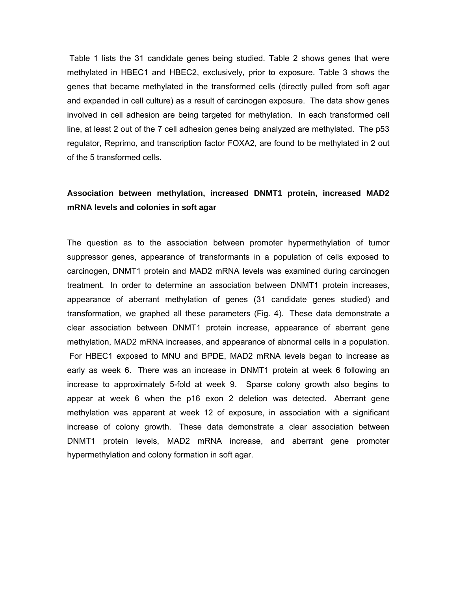Table 1 lists the 31 candidate genes being studied. Table 2 shows genes that were methylated in HBEC1 and HBEC2, exclusively, prior to exposure. Table 3 shows the genes that became methylated in the transformed cells (directly pulled from soft agar and expanded in cell culture) as a result of carcinogen exposure. The data show genes involved in cell adhesion are being targeted for methylation. In each transformed cell line, at least 2 out of the 7 cell adhesion genes being analyzed are methylated. The p53 regulator, Reprimo, and transcription factor FOXA2, are found to be methylated in 2 out of the 5 transformed cells.

## **Association between methylation, increased DNMT1 protein, increased MAD2 mRNA levels and colonies in soft agar**

The question as to the association between promoter hypermethylation of tumor suppressor genes, appearance of transformants in a population of cells exposed to carcinogen, DNMT1 protein and MAD2 mRNA levels was examined during carcinogen treatment. In order to determine an association between DNMT1 protein increases, appearance of aberrant methylation of genes (31 candidate genes studied) and transformation, we graphed all these parameters (Fig. 4). These data demonstrate a clear association between DNMT1 protein increase, appearance of aberrant gene methylation, MAD2 mRNA increases, and appearance of abnormal cells in a population. For HBEC1 exposed to MNU and BPDE, MAD2 mRNA levels began to increase as early as week 6. There was an increase in DNMT1 protein at week 6 following an increase to approximately 5-fold at week 9. Sparse colony growth also begins to appear at week 6 when the p16 exon 2 deletion was detected. Aberrant gene methylation was apparent at week 12 of exposure, in association with a significant increase of colony growth. These data demonstrate a clear association between DNMT1 protein levels, MAD2 mRNA increase, and aberrant gene promoter hypermethylation and colony formation in soft agar.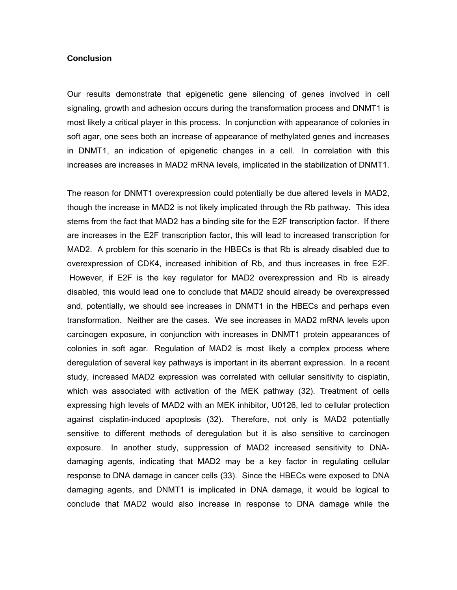#### **Conclusion**

Our results demonstrate that epigenetic gene silencing of genes involved in cell signaling, growth and adhesion occurs during the transformation process and DNMT1 is most likely a critical player in this process. In conjunction with appearance of colonies in soft agar, one sees both an increase of appearance of methylated genes and increases in DNMT1, an indication of epigenetic changes in a cell. In correlation with this increases are increases in MAD2 mRNA levels, implicated in the stabilization of DNMT1.

The reason for DNMT1 overexpression could potentially be due altered levels in MAD2, though the increase in MAD2 is not likely implicated through the Rb pathway. This idea stems from the fact that MAD2 has a binding site for the E2F transcription factor. If there are increases in the E2F transcription factor, this will lead to increased transcription for MAD2. A problem for this scenario in the HBECs is that Rb is already disabled due to overexpression of CDK4, increased inhibition of Rb, and thus increases in free E2F. However, if E2F is the key regulator for MAD2 overexpression and Rb is already disabled, this would lead one to conclude that MAD2 should already be overexpressed and, potentially, we should see increases in DNMT1 in the HBECs and perhaps even transformation. Neither are the cases. We see increases in MAD2 mRNA levels upon carcinogen exposure, in conjunction with increases in DNMT1 protein appearances of colonies in soft agar. Regulation of MAD2 is most likely a complex process where deregulation of several key pathways is important in its aberrant expression. In a recent study, increased MAD2 expression was correlated with cellular sensitivity to cisplatin, which was associated with activation of the MEK pathway (32). Treatment of cells expressing high levels of MAD2 with an MEK inhibitor, U0126, led to cellular protection against cisplatin-induced apoptosis (32). Therefore, not only is MAD2 potentially sensitive to different methods of deregulation but it is also sensitive to carcinogen exposure. In another study, suppression of MAD2 increased sensitivity to DNAdamaging agents, indicating that MAD2 may be a key factor in regulating cellular response to DNA damage in cancer cells (33). Since the HBECs were exposed to DNA damaging agents, and DNMT1 is implicated in DNA damage, it would be logical to conclude that MAD2 would also increase in response to DNA damage while the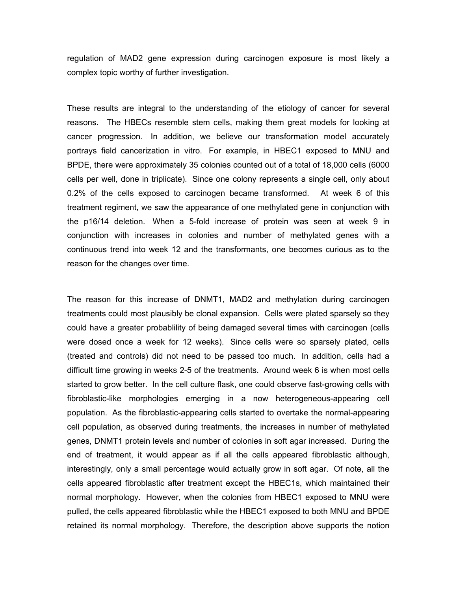regulation of MAD2 gene expression during carcinogen exposure is most likely a complex topic worthy of further investigation.

These results are integral to the understanding of the etiology of cancer for several reasons. The HBECs resemble stem cells, making them great models for looking at cancer progression. In addition, we believe our transformation model accurately portrays field cancerization in vitro. For example, in HBEC1 exposed to MNU and BPDE, there were approximately 35 colonies counted out of a total of 18,000 cells (6000 cells per well, done in triplicate). Since one colony represents a single cell, only about 0.2% of the cells exposed to carcinogen became transformed. At week 6 of this treatment regiment, we saw the appearance of one methylated gene in conjunction with the p16/14 deletion. When a 5-fold increase of protein was seen at week 9 in conjunction with increases in colonies and number of methylated genes with a continuous trend into week 12 and the transformants, one becomes curious as to the reason for the changes over time.

The reason for this increase of DNMT1, MAD2 and methylation during carcinogen treatments could most plausibly be clonal expansion. Cells were plated sparsely so they could have a greater probablility of being damaged several times with carcinogen (cells were dosed once a week for 12 weeks). Since cells were so sparsely plated, cells (treated and controls) did not need to be passed too much. In addition, cells had a difficult time growing in weeks 2-5 of the treatments. Around week 6 is when most cells started to grow better. In the cell culture flask, one could observe fast-growing cells with fibroblastic-like morphologies emerging in a now heterogeneous-appearing cell population. As the fibroblastic-appearing cells started to overtake the normal-appearing cell population, as observed during treatments, the increases in number of methylated genes, DNMT1 protein levels and number of colonies in soft agar increased. During the end of treatment, it would appear as if all the cells appeared fibroblastic although, interestingly, only a small percentage would actually grow in soft agar. Of note, all the cells appeared fibroblastic after treatment except the HBEC1s, which maintained their normal morphology. However, when the colonies from HBEC1 exposed to MNU were pulled, the cells appeared fibroblastic while the HBEC1 exposed to both MNU and BPDE retained its normal morphology. Therefore, the description above supports the notion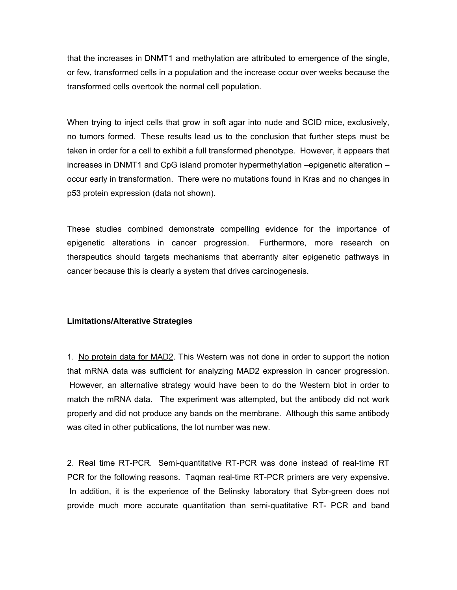that the increases in DNMT1 and methylation are attributed to emergence of the single, or few, transformed cells in a population and the increase occur over weeks because the transformed cells overtook the normal cell population.

When trying to inject cells that grow in soft agar into nude and SCID mice, exclusively, no tumors formed. These results lead us to the conclusion that further steps must be taken in order for a cell to exhibit a full transformed phenotype. However, it appears that increases in DNMT1 and CpG island promoter hypermethylation –epigenetic alteration – occur early in transformation. There were no mutations found in Kras and no changes in p53 protein expression (data not shown).

These studies combined demonstrate compelling evidence for the importance of epigenetic alterations in cancer progression. Furthermore, more research on therapeutics should targets mechanisms that aberrantly alter epigenetic pathways in cancer because this is clearly a system that drives carcinogenesis.

#### **Limitations/Alterative Strategies**

1. No protein data for MAD2. This Western was not done in order to support the notion that mRNA data was sufficient for analyzing MAD2 expression in cancer progression. However, an alternative strategy would have been to do the Western blot in order to match the mRNA data. The experiment was attempted, but the antibody did not work properly and did not produce any bands on the membrane. Although this same antibody was cited in other publications, the lot number was new.

2. Real time RT-PCR. Semi-quantitative RT-PCR was done instead of real-time RT PCR for the following reasons. Taqman real-time RT-PCR primers are very expensive. In addition, it is the experience of the Belinsky laboratory that Sybr-green does not provide much more accurate quantitation than semi-quatitative RT- PCR and band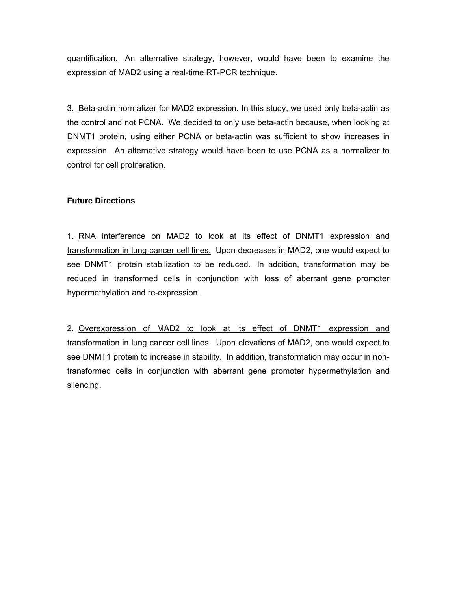quantification. An alternative strategy, however, would have been to examine the expression of MAD2 using a real-time RT-PCR technique.

3. Beta-actin normalizer for MAD2 expression. In this study, we used only beta-actin as the control and not PCNA. We decided to only use beta-actin because, when looking at DNMT1 protein, using either PCNA or beta-actin was sufficient to show increases in expression. An alternative strategy would have been to use PCNA as a normalizer to control for cell proliferation.

#### **Future Directions**

1. RNA interference on MAD2 to look at its effect of DNMT1 expression and transformation in lung cancer cell lines. Upon decreases in MAD2, one would expect to see DNMT1 protein stabilization to be reduced. In addition, transformation may be reduced in transformed cells in conjunction with loss of aberrant gene promoter hypermethylation and re-expression.

2. Overexpression of MAD2 to look at its effect of DNMT1 expression and transformation in lung cancer cell lines. Upon elevations of MAD2, one would expect to see DNMT1 protein to increase in stability. In addition, transformation may occur in nontransformed cells in conjunction with aberrant gene promoter hypermethylation and silencing.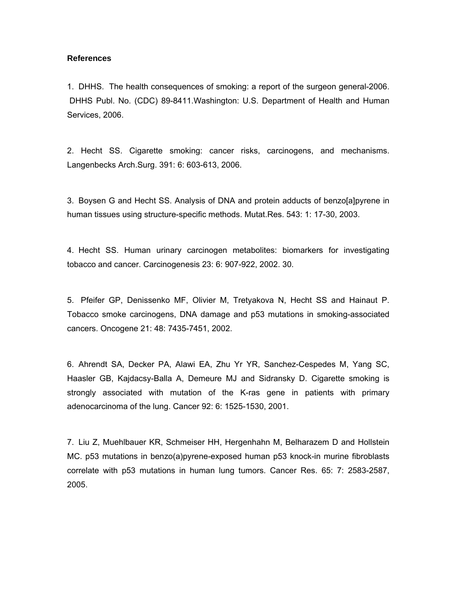#### **References**

1. DHHS. The health consequences of smoking: a report of the surgeon general-2006. DHHS Publ. No. (CDC) 89-8411.Washington: U.S. Department of Health and Human Services, 2006.

2. Hecht SS. Cigarette smoking: cancer risks, carcinogens, and mechanisms. Langenbecks Arch.Surg. 391: 6: 603-613, 2006.

3. Boysen G and Hecht SS. Analysis of DNA and protein adducts of benzo[a]pyrene in human tissues using structure-specific methods. Mutat.Res. 543: 1: 17-30, 2003.

4. Hecht SS. Human urinary carcinogen metabolites: biomarkers for investigating tobacco and cancer. Carcinogenesis 23: 6: 907-922, 2002. 30.

5. Pfeifer GP, Denissenko MF, Olivier M, Tretyakova N, Hecht SS and Hainaut P. Tobacco smoke carcinogens, DNA damage and p53 mutations in smoking-associated cancers. Oncogene 21: 48: 7435-7451, 2002.

6. Ahrendt SA, Decker PA, Alawi EA, Zhu Yr YR, Sanchez-Cespedes M, Yang SC, Haasler GB, Kajdacsy-Balla A, Demeure MJ and Sidransky D. Cigarette smoking is strongly associated with mutation of the K-ras gene in patients with primary adenocarcinoma of the lung. Cancer 92: 6: 1525-1530, 2001.

7. Liu Z, Muehlbauer KR, Schmeiser HH, Hergenhahn M, Belharazem D and Hollstein MC. p53 mutations in benzo(a)pyrene-exposed human p53 knock-in murine fibroblasts correlate with p53 mutations in human lung tumors. Cancer Res. 65: 7: 2583-2587, 2005.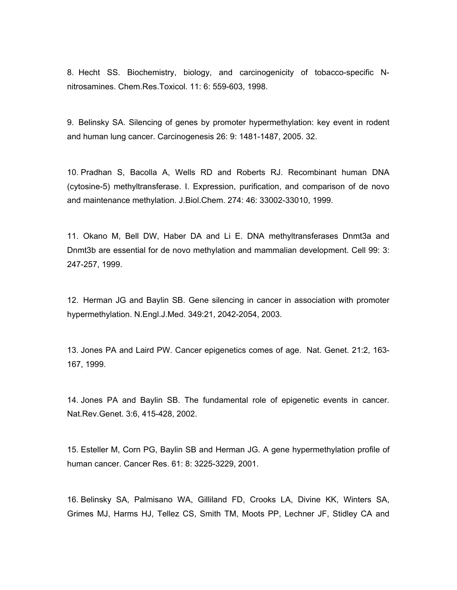8. Hecht SS. Biochemistry, biology, and carcinogenicity of tobacco-specific Nnitrosamines. Chem.Res.Toxicol. 11: 6: 559-603, 1998.

9. Belinsky SA. Silencing of genes by promoter hypermethylation: key event in rodent and human lung cancer. Carcinogenesis 26: 9: 1481-1487, 2005. 32.

10. Pradhan S, Bacolla A, Wells RD and Roberts RJ. Recombinant human DNA (cytosine-5) methyltransferase. I. Expression, purification, and comparison of de novo and maintenance methylation. J.Biol.Chem. 274: 46: 33002-33010, 1999.

11. Okano M, Bell DW, Haber DA and Li E. DNA methyltransferases Dnmt3a and Dnmt3b are essential for de novo methylation and mammalian development. Cell 99: 3: 247-257, 1999.

12. Herman JG and Baylin SB. Gene silencing in cancer in association with promoter hypermethylation. N.Engl.J.Med. 349:21, 2042-2054, 2003.

13. Jones PA and Laird PW. Cancer epigenetics comes of age. Nat. Genet. 21:2, 163- 167, 1999.

14. Jones PA and Baylin SB. The fundamental role of epigenetic events in cancer. Nat.Rev.Genet. 3:6, 415-428, 2002.

15. Esteller M, Corn PG, Baylin SB and Herman JG. A gene hypermethylation profile of human cancer. Cancer Res. 61: 8: 3225-3229, 2001.

16. Belinsky SA, Palmisano WA, Gilliland FD, Crooks LA, Divine KK, Winters SA, Grimes MJ, Harms HJ, Tellez CS, Smith TM, Moots PP, Lechner JF, Stidley CA and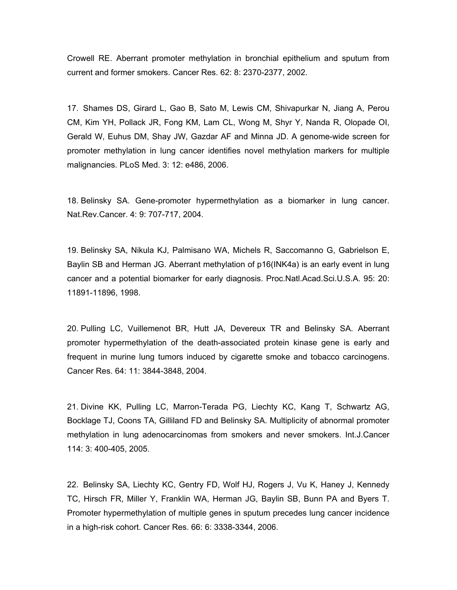Crowell RE. Aberrant promoter methylation in bronchial epithelium and sputum from current and former smokers. Cancer Res. 62: 8: 2370-2377, 2002.

17. Shames DS, Girard L, Gao B, Sato M, Lewis CM, Shivapurkar N, Jiang A, Perou CM, Kim YH, Pollack JR, Fong KM, Lam CL, Wong M, Shyr Y, Nanda R, Olopade OI, Gerald W, Euhus DM, Shay JW, Gazdar AF and Minna JD. A genome-wide screen for promoter methylation in lung cancer identifies novel methylation markers for multiple malignancies. PLoS Med. 3: 12: e486, 2006.

18. Belinsky SA. Gene-promoter hypermethylation as a biomarker in lung cancer. Nat.Rev.Cancer. 4: 9: 707-717, 2004.

19. Belinsky SA, Nikula KJ, Palmisano WA, Michels R, Saccomanno G, Gabrielson E, Baylin SB and Herman JG. Aberrant methylation of p16(INK4a) is an early event in lung cancer and a potential biomarker for early diagnosis. Proc.Natl.Acad.Sci.U.S.A. 95: 20: 11891-11896, 1998.

20. Pulling LC, Vuillemenot BR, Hutt JA, Devereux TR and Belinsky SA. Aberrant promoter hypermethylation of the death-associated protein kinase gene is early and frequent in murine lung tumors induced by cigarette smoke and tobacco carcinogens. Cancer Res. 64: 11: 3844-3848, 2004.

21. Divine KK, Pulling LC, Marron-Terada PG, Liechty KC, Kang T, Schwartz AG, Bocklage TJ, Coons TA, Gilliland FD and Belinsky SA. Multiplicity of abnormal promoter methylation in lung adenocarcinomas from smokers and never smokers. Int.J.Cancer 114: 3: 400-405, 2005.

22. Belinsky SA, Liechty KC, Gentry FD, Wolf HJ, Rogers J, Vu K, Haney J, Kennedy TC, Hirsch FR, Miller Y, Franklin WA, Herman JG, Baylin SB, Bunn PA and Byers T. Promoter hypermethylation of multiple genes in sputum precedes lung cancer incidence in a high-risk cohort. Cancer Res. 66: 6: 3338-3344, 2006.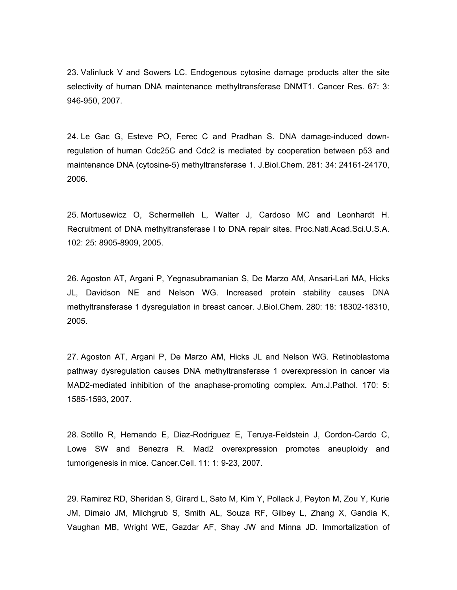23. Valinluck V and Sowers LC. Endogenous cytosine damage products alter the site selectivity of human DNA maintenance methyltransferase DNMT1. Cancer Res. 67: 3: 946-950, 2007.

24. Le Gac G, Esteve PO, Ferec C and Pradhan S. DNA damage-induced downregulation of human Cdc25C and Cdc2 is mediated by cooperation between p53 and maintenance DNA (cytosine-5) methyltransferase 1. J.Biol.Chem. 281: 34: 24161-24170, 2006.

25. Mortusewicz O, Schermelleh L, Walter J, Cardoso MC and Leonhardt H. Recruitment of DNA methyltransferase I to DNA repair sites. Proc.Natl.Acad.Sci.U.S.A. 102: 25: 8905-8909, 2005.

26. Agoston AT, Argani P, Yegnasubramanian S, De Marzo AM, Ansari-Lari MA, Hicks JL, Davidson NE and Nelson WG. Increased protein stability causes DNA methyltransferase 1 dysregulation in breast cancer. J.Biol.Chem. 280: 18: 18302-18310, 2005.

27. Agoston AT, Argani P, De Marzo AM, Hicks JL and Nelson WG. Retinoblastoma pathway dysregulation causes DNA methyltransferase 1 overexpression in cancer via MAD2-mediated inhibition of the anaphase-promoting complex. Am.J.Pathol. 170: 5: 1585-1593, 2007.

28. Sotillo R, Hernando E, Diaz-Rodriguez E, Teruya-Feldstein J, Cordon-Cardo C, Lowe SW and Benezra R. Mad2 overexpression promotes aneuploidy and tumorigenesis in mice. Cancer.Cell. 11: 1: 9-23, 2007.

29. Ramirez RD, Sheridan S, Girard L, Sato M, Kim Y, Pollack J, Peyton M, Zou Y, Kurie JM, Dimaio JM, Milchgrub S, Smith AL, Souza RF, Gilbey L, Zhang X, Gandia K, Vaughan MB, Wright WE, Gazdar AF, Shay JW and Minna JD. Immortalization of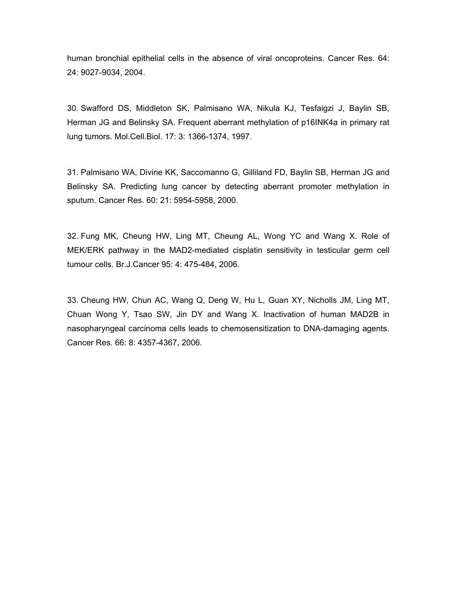human bronchial epithelial cells in the absence of viral oncoproteins. Cancer Res. 64: 24: 9027-9034, 2004.

30. Swafford DS, Middleton SK, Palmisano WA, Nikula KJ, Tesfaigzi J, Baylin SB, Herman JG and Belinsky SA. Frequent aberrant methylation of p16INK4a in primary rat lung tumors. Mol.Cell.Biol. 17: 3: 1366-1374, 1997.

31. Palmisano WA, Divine KK, Saccomanno G, Gilliland FD, Baylin SB, Herman JG and Belinsky SA. Predicting lung cancer by detecting aberrant promoter methylation in sputum. Cancer Res. 60: 21: 5954-5958, 2000.

32. Fung MK, Cheung HW, Ling MT, Cheung AL, Wong YC and Wang X. Role of MEK/ERK pathway in the MAD2-mediated cisplatin sensitivity in testicular germ cell tumour cells. Br.J.Cancer 95: 4: 475-484, 2006.

33. Cheung HW, Chun AC, Wang Q, Deng W, Hu L, Guan XY, Nicholls JM, Ling MT, Chuan Wong Y, Tsao SW, Jin DY and Wang X. Inactivation of human MAD2B in nasopharyngeal carcinoma cells leads to chemosensitization to DNA-damaging agents. Cancer Res. 66: 8: 4357-4367, 2006.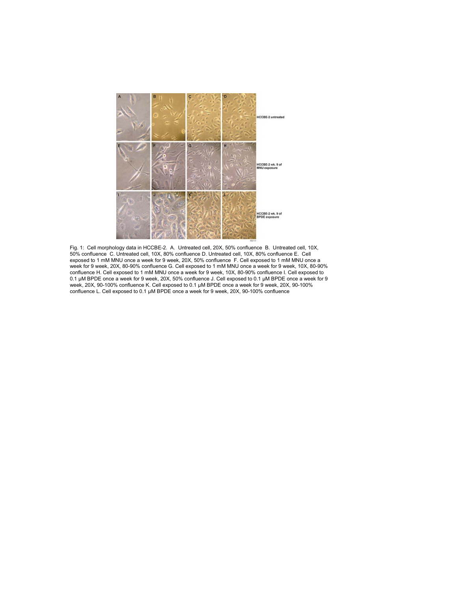

Fig. 1: Cell morphology data in HCCBE-2. A. Untreated cell, 20X, 50% confluence B. Untreated cell, 10X, 50% confluence C. Untreated cell, 10X, 80% confluence D. Untreated cell, 10X, 80% confluence E. Cell exposed to 1 mM MNU once a week for 9 week, 20X, 50% confluence F. Cell exposed to 1 mM MNU once a week for 9 week, 20X, 80-90% confluence G. Cell exposed to 1 mM MNU once a week for 9 week, 10X, 80-90% confluence H. Cell exposed to 1 mM MNU once a week for 9 week, 10X, 80-90% confluence I. Cell exposed to 0.1 μM BPDE once a week for 9 week, 20X, 50% confluence J. Cell exposed to 0.1 μM BPDE once a week for 9 week, 20X, 90-100% confluence K. Cell exposed to 0.1 μM BPDE once a week for 9 week, 20X, 90-100% confluence L. Cell exposed to 0.1 μM BPDE once a week for 9 week, 20X, 90-100% confluence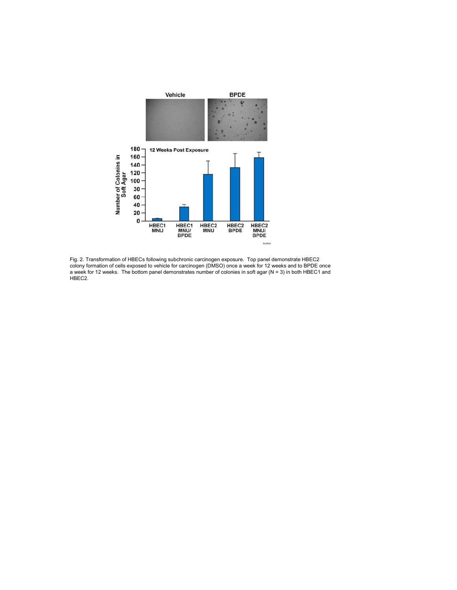

Fig. 2. Transformation of HBECs following subchronic carcinogen exposure. Top panel demonstrate HBEC2 colony formation of cells exposed to vehicle for carcinogen (DMSO) once a week for 12 weeks and to BPDE once a week for 12 weeks. The bottom panel demonstrates number of colonies in soft agar (N = 3) in both HBEC1 and HBEC<sub>2</sub>.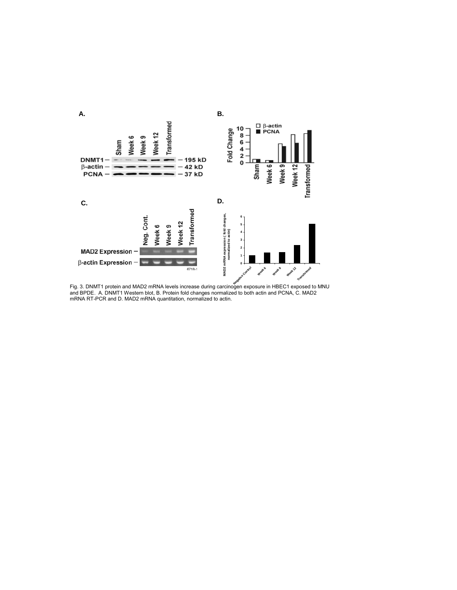

Fig. 3. DNMT1 protein and MAD2 mRNA levels increase during carcinogen exposure in HBEC1 exposed to MNU and BPDE. A. DNMT1 Western blot, B. Protein fold changes normalized to both actin and PCNA, C. MAD2 mRNA RT-PCR and D. MAD2 mRNA quantitation, normalized to actin.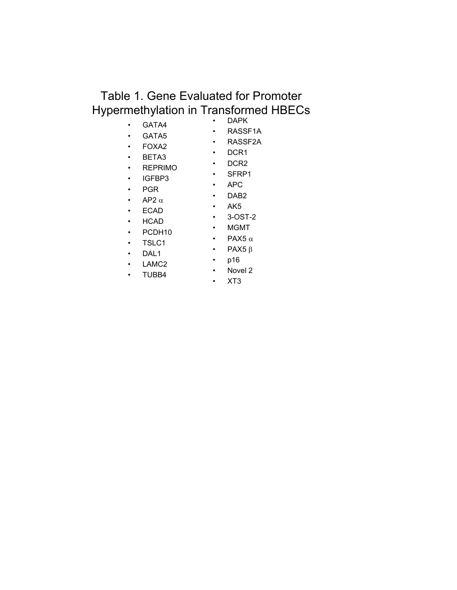# Table 1. Gene Evaluated for Promoter Hypermethylation in Transformed HBECs

### • GATA4

• DAPK • RASSF1A

• SFRP1

• 3-OST-2

- GATA5 • FOXA2
- RASSF2A
- DCR1
- BETA3
- DCR2
- REPRIMO
- IGFBP3
- APC
- PGR
- DAB2 • AK5
- AP2  $\alpha$

• TSLC1

- ECAD
- HCAD • PCDH10
- MGMT
- PAX5  $\alpha$
- PAX5 β
- DAL1 • LAMC2
- p16 • Novel 2
- TUBB4
- XT3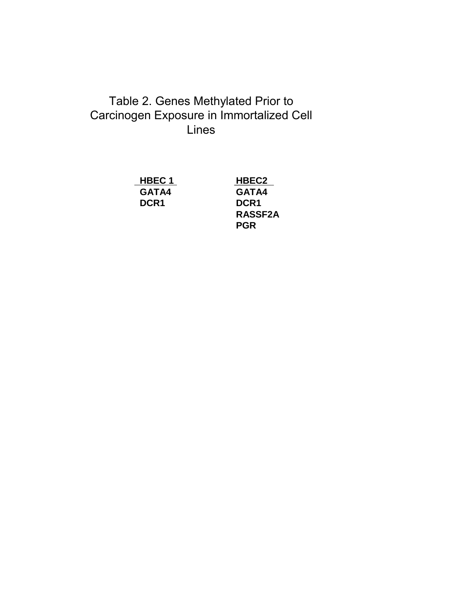# Table 2. Genes Methylated Prior to Carcinogen Exposure in Immortalized Cell Lines

**HBEC 1 HBEC2 GATA4 GATA4 DCR1 DCR1**

**RASSF2A PGR**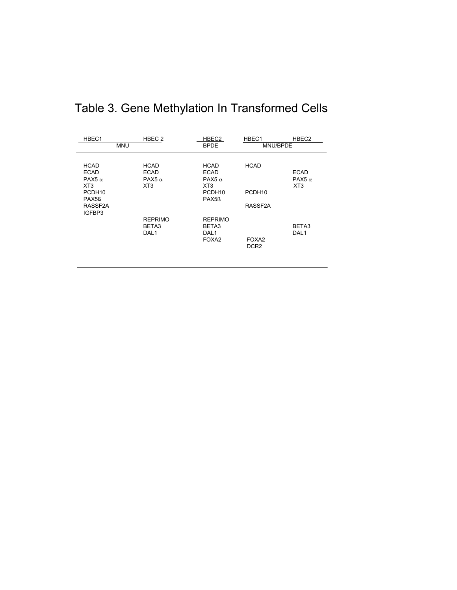| HBEC1<br>HBEC <sub>2</sub><br><b>MNU</b>                                                                                          |  |                                                                            | HBEC2<br><b>BPDE</b>                                                                                                   | HBEC1<br>HBEC <sub>2</sub><br>MNU/BPDE       |                                                             |
|-----------------------------------------------------------------------------------------------------------------------------------|--|----------------------------------------------------------------------------|------------------------------------------------------------------------------------------------------------------------|----------------------------------------------|-------------------------------------------------------------|
| <b>HCAD</b><br><b>ECAD</b><br>PAX <sub>5</sub> $\alpha$<br>XT <sub>3</sub><br>PCDH <sub>10</sub><br>PAX <sub>5</sub> ß<br>RASSF2A |  | <b>HCAD</b><br><b>ECAD</b><br>PAX <sub>5</sub> $\alpha$<br>XT <sub>3</sub> | <b>HCAD</b><br><b>ECAD</b><br>PAX <sub>5</sub> $\alpha$<br>XT <sub>3</sub><br>PCDH <sub>10</sub><br>PAX <sub>5</sub> ß | <b>HCAD</b><br>PCDH <sub>10</sub><br>RASSF2A | <b>ECAD</b><br>PAX <sub>5</sub> $\alpha$<br>XT <sub>3</sub> |
| IGFBP3                                                                                                                            |  | <b>REPRIMO</b><br>BETA3<br>DAL <sub>1</sub>                                | <b>REPRIMO</b><br>BETA3<br>DAL <sub>1</sub><br>FOXA <sub>2</sub>                                                       | FOXA <sub>2</sub><br>DCR <sub>2</sub>        | BETA3<br>DAL <sub>1</sub>                                   |

# Table 3. Gene Methylation In Transformed Cells